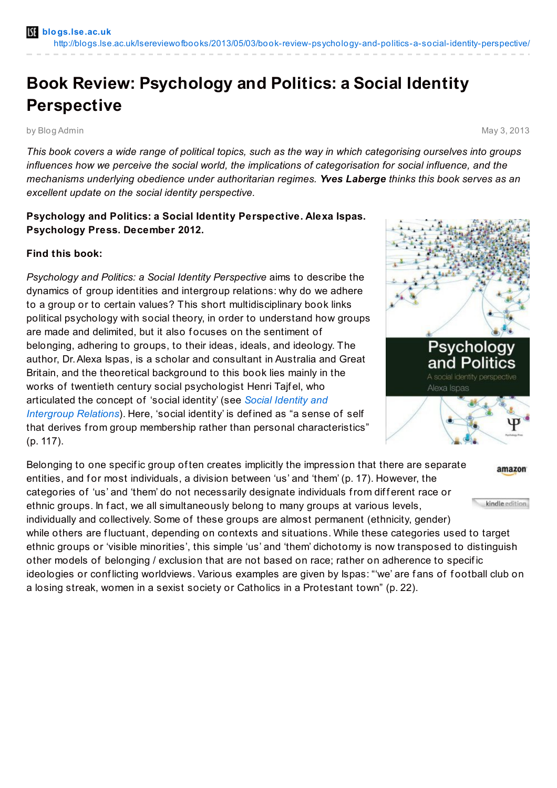## **Book Review: Psychology and Politics: a Social Identity Perspective**

by Blog Admin May 3, 2013

This book covers a wide range of political topics, such as the way in which categorising ourselves into groups *influences how we perceive the social world, the implications of categorisation for social influence, and the mechanisms underlying obedience under authoritarian regimes. Yves Laberge thinks this book serves as an excellent update on the social identity perspective.*

## **Psychology and Politics: a Social Identity Perspective. Alexa Ispas. Psychology Press. December 2012.**

## **Find this book:**

*Psychology and Politics: a Social Identity Perspective* aims to describe the dynamics of group identities and intergroup relations: why do we adhere to a group or to certain values? This short multidisciplinary book links political psychology with social theory, in order to understand how groups are made and delimited, but it also focuses on the sentiment of belonging, adhering to groups, to their ideas, ideals, and ideology. The author, Dr.Alexa Ispas, is a scholar and consultant in Australia and Great Britain, and the theoretical background to this book lies mainly in the works of twentieth century social psychologist Henri Tajf el, who [articulated](http://www.amazon.co.uk/gp/product/0521153654/ref=as_li_qf_sp_asin_il_tl?ie=UTF8&camp=1634&creative=6738&creativeASIN=0521153654&linkCode=as2&tag=lsreofbo-21) the concept of 'social identity' (see *Social Identity and Intergroup Relations*). Here, 'social identity' is def ined as "a sense of self that derives from group membership rather than personal characteristics" (p. 117).



Belonging to one specif ic group of ten creates implicitly the impression that there are separate amazon entities, and for most individuals, a division between 'us' and 'them' (p. 17). However, the categories of 'us' and 'them' do not necessarily designate individuals from different race or kindle edition ethnic groups. In fact, we all simultaneously belong to many groups at various levels, individually and collectively. Some of these groups are almost permanent (ethnicity, gender) while others are fluctuant, depending on contexts and situations. While these categories used to target ethnic groups or 'visible minorities', this simple 'us' and 'them' dichotomy is now transposed to distinguish other models of belonging / exclusion that are not based on race; rather on adherence to specif ic ideologies or conflicting worldviews. Various examples are given by Ispas: "'we' are fans of football club on

a losing streak, women in a sexist society or Catholics in a Protestant town" (p. 22).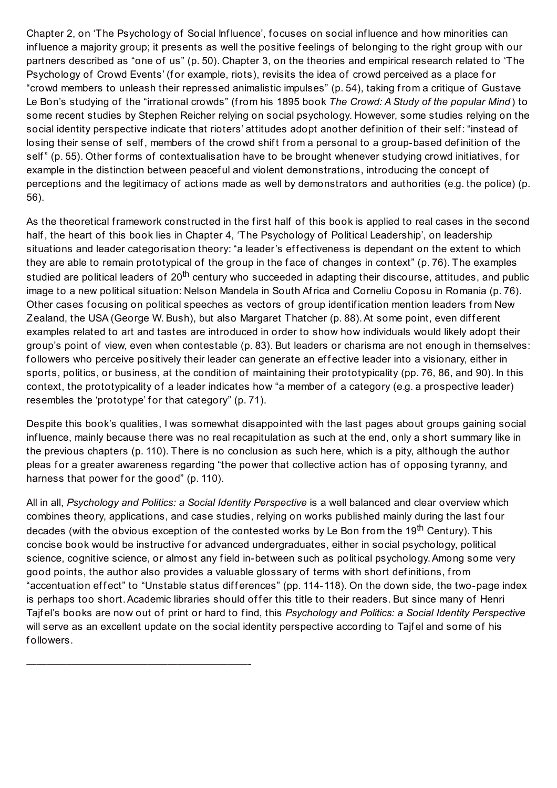Chapter 2, on 'The Psychology of Social Inf luence', f ocuses on social inf luence and how minorities can influence a majority group; it presents as well the positive feelings of belonging to the right group with our partners described as "one of us" (p. 50). Chapter 3, on the theories and empirical research related to 'The Psychology of Crowd Events' (for example, riots), revisits the idea of crowd perceived as a place for "crowd members to unleash their repressed animalistic impulses" (p. 54), taking from a critique of Gustave Le Bon's studying of the "irrational crowds" (from his 1895 book *The Crowd: A Study of the popular Mind* ) to some recent studies by Stephen Reicher relying on social psychology. However, some studies relying on the social identity perspective indicate that rioters' attitudes adopt another definition of their self: "instead of losing their sense of self, members of the crowd shift from a personal to a group-based definition of the self" (p. 55). Other forms of contextualisation have to be brought whenever studying crowd initiatives, for example in the distinction between peacef ul and violent demonstrations, introducing the concept of perceptions and the legitimacy of actions made as well by demonstrators and authorities (e.g. the police) (p. 56).

As the theoretical framework constructed in the first half of this book is applied to real cases in the second half, the heart of this book lies in Chapter 4, 'The Psychology of Political Leadership', on leadership situations and leader categorisation theory: "a leader's effectiveness is dependant on the extent to which they are able to remain prototypical of the group in the f ace of changes in context" (p. 76). The examples studied are political leaders of 20<sup>th</sup> century who succeeded in adapting their discourse, attitudes, and public image to a new political situation: Nelson Mandela in South Africa and Corneliu Coposu in Romania (p. 76). Other cases focusing on political speeches as vectors of group identification mention leaders from New Zealand, the USA (George W. Bush), but also Margaret Thatcher (p. 88). At some point, even different examples related to art and tastes are introduced in order to show how individuals would likely adopt their group's point of view, even when contestable (p. 83). But leaders or charisma are not enough in themselves: followers who perceive positively their leader can generate an effective leader into a visionary, either in sports, politics, or business, at the condition of maintaining their prototypicality (pp. 76, 86, and 90). In this context, the prototypicality of a leader indicates how "a member of a category (e.g. a prospective leader) resembles the 'prototype' for that category" (p. 71).

Despite this book's qualities, I was somewhat disappointed with the last pages about groups gaining social inf luence, mainly because there was no real recapitulation as such at the end, only a short summary like in the previous chapters (p. 110). There is no conclusion as such here, which is a pity, although the author pleas for a greater awareness regarding "the power that collective action has of opposing tyranny, and harness that power for the good" (p. 110).

All in all, *Psychology and Politics: a Social Identity Perspective* is a well balanced and clear overview which combines theory, applications, and case studies, relying on works published mainly during the last f our decades (with the obvious exception of the contested works by Le Bon from the 19<sup>th</sup> Century). This concise book would be instructive for advanced undergraduates, either in social psychology, political science, cognitive science, or almost any f ield in-between such as political psychology.Among some very good points, the author also provides a valuable glossary of terms with short def initions, from "accentuation effect" to "Unstable status differences" (pp. 114-118). On the down side, the two-page index is perhaps too short. Academic libraries should offer this title to their readers. But since many of Henri Tajf el's books are now out of print or hard to f ind, this *Psychology and Politics: a Social Identity Perspective* will serve as an excellent update on the social identity perspective according to Tajfel and some of his followers.

——————————————————————-